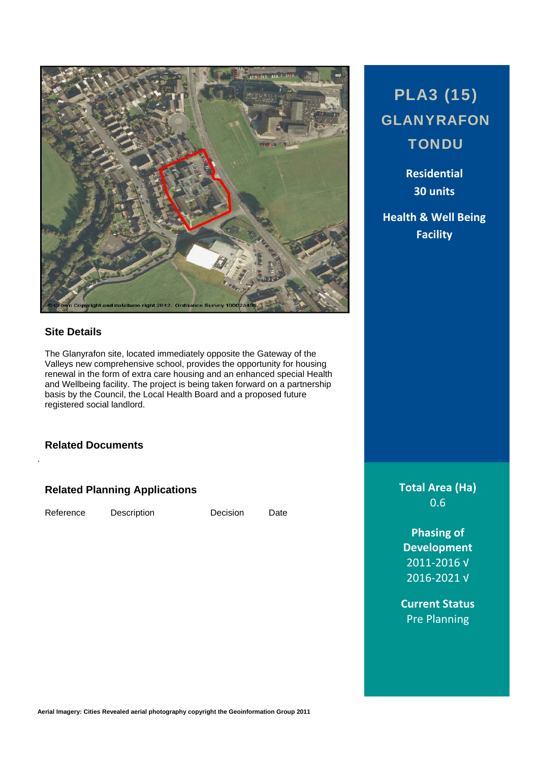

# **Site Details**

The Glanyrafon site, located immediately opposite the Gateway of the Valleys new comprehensive school, provides the opportunity for housing renewal in the form of extra care housing and an enhanced special Health and Wellbeing facility. The project is being taken forward on a partnership basis by the Council, the Local Health Board and a proposed future registered social landlord.

## **Related Documents**

## **Related Planning Applications**

Reference Description Decision Date

.

# PLA3 (15) GLANYRAFON **TONDU**

**Residential 30 units**

**Health & Well Being Facility**

> **Total Area (Ha)** 0.6

**Phasing of Development** 2011‐2016 √ 2016‐2021 √

**Current Status** Pre Planning